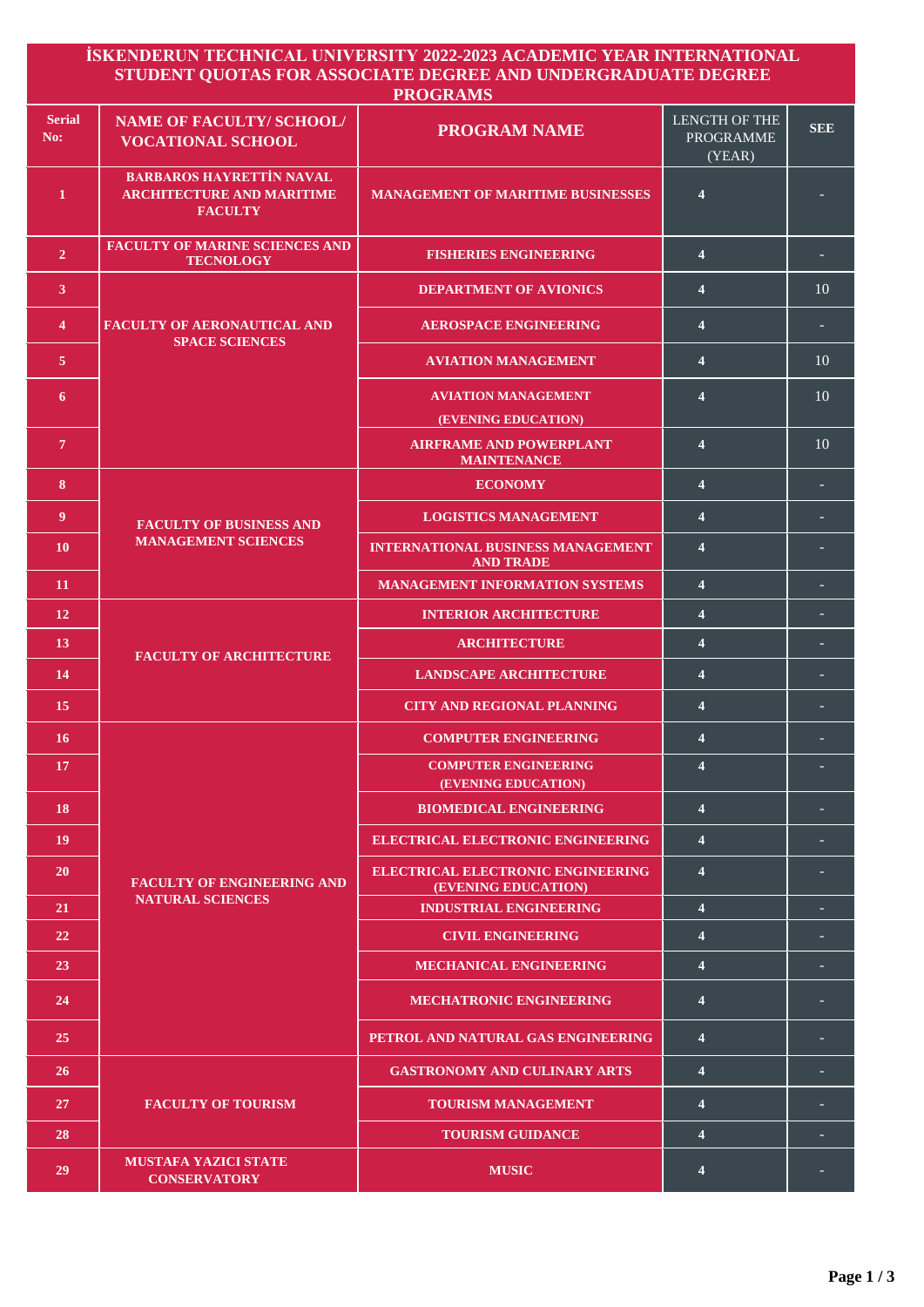|                      |                                                                                       | <u>İSKENDERUN TECHNICAL UNIVERSITY 2022-2023 ACADEMIC YEAR INTERNATIONAL</u><br>STUDENT QUOTAS FOR ASSOCIATE DEGREE AND UNDERGRADUATE DEGREE<br><b>PROGRAMS</b> |                                                    |            |
|----------------------|---------------------------------------------------------------------------------------|-----------------------------------------------------------------------------------------------------------------------------------------------------------------|----------------------------------------------------|------------|
| <b>Serial</b><br>No: | <b>NAME OF FACULTY/ SCHOOL/</b><br><b>VOCATIONAL SCHOOL</b>                           | <b>PROGRAM NAME</b>                                                                                                                                             | <b>LENGTH OF THE</b><br><b>PROGRAMME</b><br>(YEAR) | <b>SEE</b> |
| 1                    | <b>BARBAROS HAYRETTİN NAVAL</b><br><b>ARCHITECTURE AND MARITIME</b><br><b>FACULTY</b> | <b>MANAGEMENT OF MARITIME BUSINESSES</b>                                                                                                                        | 4                                                  |            |
| $\overline{2}$       | <b>FACULTY OF MARINE SCIENCES AND</b><br><b>TECNOLOGY</b>                             | <b>FISHERIES ENGINEERING</b>                                                                                                                                    | $\overline{4}$                                     |            |
| $\mathbf{3}$         | <b>FACULTY OF AERONAUTICAL AND</b><br><b>SPACE SCIENCES</b>                           | <b>DEPARTMENT OF AVIONICS</b>                                                                                                                                   | $\overline{4}$                                     | 10         |
| $\overline{4}$       |                                                                                       | <b>AEROSPACE ENGINEERING</b>                                                                                                                                    | $\overline{4}$                                     |            |
| 5 <sup>5</sup>       |                                                                                       | <b>AVIATION MANAGEMENT</b>                                                                                                                                      | 4                                                  | 10         |
| 6                    |                                                                                       | <b>AVIATION MANAGEMENT</b><br>(EVENING EDUCATION)                                                                                                               | $\overline{\mathbf{4}}$                            | 10         |
| $\overline{\tau}$    |                                                                                       | <b>AIRFRAME AND POWERPLANT</b><br><b>MAINTENANCE</b>                                                                                                            | $\overline{\mathbf{4}}$                            | 10         |
| 8                    | <b>FACULTY OF BUSINESS AND</b><br><b>MANAGEMENT SCIENCES</b>                          | <b>ECONOMY</b>                                                                                                                                                  | $\overline{\mathbf{4}}$                            |            |
| 9                    |                                                                                       | <b>LOGISTICS MANAGEMENT</b>                                                                                                                                     | $\overline{4}$                                     |            |
| <b>10</b>            |                                                                                       | <b>INTERNATIONAL BUSINESS MANAGEMENT</b><br><b>AND TRADE</b>                                                                                                    | $\overline{\mathbf{4}}$                            |            |
| 11                   |                                                                                       | <b>MANAGEMENT INFORMATION SYSTEMS</b>                                                                                                                           | $\overline{\mathbf{4}}$                            |            |
| 12                   | <b>FACULTY OF ARCHITECTURE</b>                                                        | <b>INTERIOR ARCHITECTURE</b>                                                                                                                                    | $\overline{4}$                                     |            |
| 13                   |                                                                                       | <b>ARCHITECTURE</b>                                                                                                                                             | 4                                                  |            |
| 14                   |                                                                                       | <b>LANDSCAPE ARCHITECTURE</b>                                                                                                                                   | $\overline{4}$                                     |            |
| 15                   |                                                                                       | <b>CITY AND REGIONAL PLANNING</b>                                                                                                                               | $\overline{\mathbf{4}}$                            |            |
| 16                   |                                                                                       | <b>COMPUTER ENGINEERING</b>                                                                                                                                     | $\overline{4}$                                     |            |
| 17                   | <b>FACULTY OF ENGINEERING AND</b><br><b>NATURAL SCIENCES</b>                          | <b>COMPUTER ENGINEERING</b><br>(EVENING EDUCATION)                                                                                                              | $\overline{\mathbf{4}}$                            |            |
| 18                   |                                                                                       | <b>BIOMEDICAL ENGINEERING</b>                                                                                                                                   | $\overline{4}$                                     |            |
| 19                   |                                                                                       | <b>ELECTRICAL ELECTRONIC ENGINEERING</b>                                                                                                                        | $\overline{4}$                                     |            |
| <b>20</b>            |                                                                                       | <b>ELECTRICAL ELECTRONIC ENGINEERING</b><br>(EVENING EDUCATION)                                                                                                 | 4                                                  |            |
| 21                   |                                                                                       | <b>INDUSTRIAL ENGINEERING</b>                                                                                                                                   | $\overline{4}$                                     |            |
| 22                   |                                                                                       | <b>CIVIL ENGINEERING</b>                                                                                                                                        | $\overline{4}$                                     |            |
| 23                   |                                                                                       | <b>MECHANICAL ENGINEERING</b>                                                                                                                                   | $\overline{\mathbf{4}}$                            |            |
| 24                   |                                                                                       | <b>MECHATRONIC ENGINEERING</b>                                                                                                                                  | $\overline{\mathbf{4}}$                            |            |
| 25                   |                                                                                       | PETROL AND NATURAL GAS ENGINEERING                                                                                                                              | $\overline{4}$                                     |            |
| <b>26</b>            |                                                                                       | <b>GASTRONOMY AND CULINARY ARTS</b>                                                                                                                             | $\overline{4}$                                     |            |
| 27                   | <b>FACULTY OF TOURISM</b>                                                             | <b>TOURISM MANAGEMENT</b>                                                                                                                                       | $\overline{4}$                                     |            |
| 28                   |                                                                                       | <b>TOURISM GUIDANCE</b>                                                                                                                                         | $\overline{\mathbf{4}}$                            |            |
| 29                   | <b>MUSTAFA YAZICI STATE</b><br><b>CONSERVATORY</b>                                    | <b>MUSIC</b>                                                                                                                                                    | 4                                                  |            |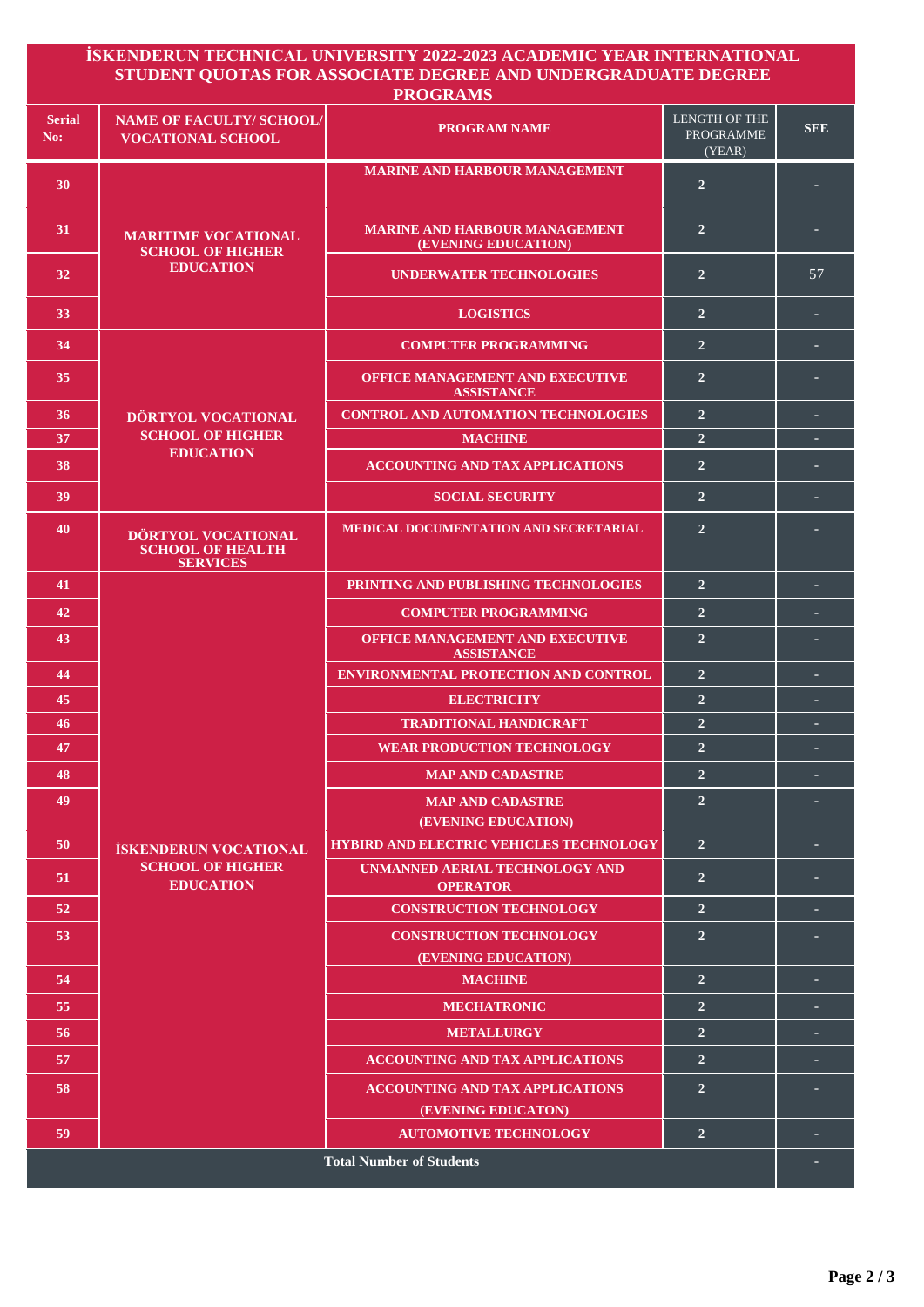| <b>Serial</b><br>No: | <b>NAME OF FACULTY/SCHOOL/</b>                                              |                                                              |                                             |            |
|----------------------|-----------------------------------------------------------------------------|--------------------------------------------------------------|---------------------------------------------|------------|
|                      | <b>VOCATIONAL SCHOOL</b>                                                    | <b>PROGRAM NAME</b>                                          | LENGTH OF THE<br><b>PROGRAMME</b><br>(YEAR) | <b>SEE</b> |
| 30                   | <b>MARITIME VOCATIONAL</b><br><b>SCHOOL OF HIGHER</b><br><b>EDUCATION</b>   | <b>MARINE AND HARBOUR MANAGEMENT</b>                         | $\overline{2}$                              |            |
| 31                   |                                                                             | <b>MARINE AND HARBOUR MANAGEMENT</b><br>(EVENING EDUCATION)  | $\overline{2}$                              |            |
| 32                   |                                                                             | <b>UNDERWATER TECHNOLOGIES</b>                               | $\overline{2}$                              | 57         |
| 33                   |                                                                             | <b>LOGISTICS</b>                                             | $\overline{2}$                              |            |
| 34                   | DÖRTYOL VOCATIONAL<br><b>SCHOOL OF HIGHER</b><br><b>EDUCATION</b>           | <b>COMPUTER PROGRAMMING</b>                                  | $\overline{2}$                              |            |
| 35                   |                                                                             | <b>OFFICE MANAGEMENT AND EXECUTIVE</b><br><b>ASSISTANCE</b>  | $\overline{2}$                              |            |
| 36                   |                                                                             | <b>CONTROL AND AUTOMATION TECHNOLOGIES</b>                   | $\overline{2}$                              |            |
| 37                   |                                                                             | <b>MACHINE</b>                                               | $\overline{2}$                              |            |
| 38                   |                                                                             | <b>ACCOUNTING AND TAX APPLICATIONS</b>                       | $\overline{2}$                              |            |
| 39                   |                                                                             | <b>SOCIAL SECURITY</b>                                       | $\overline{2}$                              |            |
| 40                   | DÖRTYOL VOCATIONAL<br><b>SCHOOL OF HEALTH</b><br><b>SERVICES</b>            | <b>MEDICAL DOCUMENTATION AND SECRETARIAL</b>                 | $\overline{2}$                              |            |
| 41                   |                                                                             | PRINTING AND PUBLISHING TECHNOLOGIES                         | $\overline{2}$                              |            |
| 42                   |                                                                             | <b>COMPUTER PROGRAMMING</b>                                  | $\overline{2}$                              |            |
| 43                   |                                                                             | OFFICE MANAGEMENT AND EXECUTIVE<br><b>ASSISTANCE</b>         | $\overline{2}$                              |            |
| 44                   |                                                                             | ENVIRONMENTAL PROTECTION AND CONTROL                         | $\overline{2}$                              |            |
| 45                   |                                                                             | <b>ELECTRICITY</b>                                           | $\overline{2}$                              |            |
| 46                   |                                                                             | <b>TRADITIONAL HANDICRAFT</b>                                | $\overline{2}$                              | н          |
| 47                   |                                                                             | <b>WEAR PRODUCTION TECHNOLOGY</b>                            | $\mathbf{z}$                                |            |
| 48                   |                                                                             | <b>MAP AND CADASTRE</b>                                      | $\overline{2}$                              |            |
| 49                   |                                                                             | <b>MAP AND CADASTRE</b><br>(EVENING EDUCATION)               | $\overline{2}$                              |            |
| 50                   | <b>İSKENDERUN VOCATIONAL</b><br><b>SCHOOL OF HIGHER</b><br><b>EDUCATION</b> | <b>HYBIRD AND ELECTRIC VEHICLES TECHNOLOGY</b>               | $\overline{2}$                              |            |
| 51                   |                                                                             | UNMANNED AERIAL TECHNOLOGY AND<br><b>OPERATOR</b>            | $\overline{2}$                              |            |
| 52                   |                                                                             | <b>CONSTRUCTION TECHNOLOGY</b>                               | $\overline{2}$                              |            |
| 53                   |                                                                             | <b>CONSTRUCTION TECHNOLOGY</b><br>(EVENING EDUCATION)        | $\overline{2}$                              |            |
| 54                   |                                                                             | <b>MACHINE</b>                                               | $\overline{2}$                              |            |
| 55                   |                                                                             | <b>MECHATRONIC</b>                                           | $\overline{2}$                              |            |
| 56                   |                                                                             | <b>METALLURGY</b>                                            | $\overline{2}$                              |            |
| 57                   |                                                                             | <b>ACCOUNTING AND TAX APPLICATIONS</b>                       | $\overline{2}$                              |            |
| 58                   |                                                                             | <b>ACCOUNTING AND TAX APPLICATIONS</b><br>(EVENING EDUCATON) | $\overline{2}$                              |            |
| 59                   |                                                                             | <b>AUTOMOTIVE TECHNOLOGY</b>                                 | $\overline{2}$                              |            |